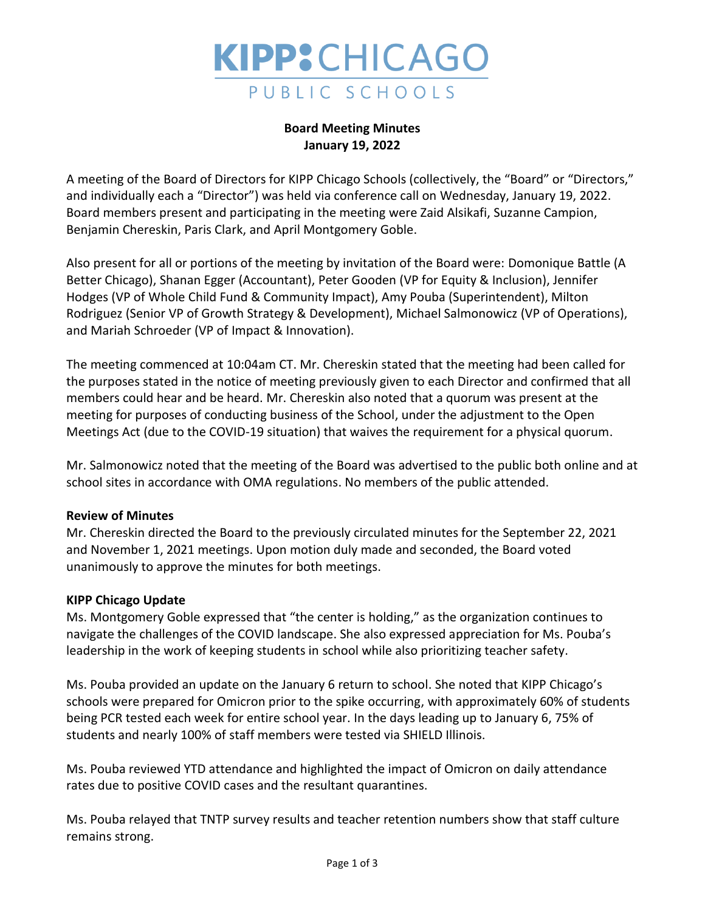

# **Board Meeting Minutes January 19, 2022**

A meeting of the Board of Directors for KIPP Chicago Schools (collectively, the "Board" or "Directors," and individually each a "Director") was held via conference call on Wednesday, January 19, 2022. Board members present and participating in the meeting were Zaid Alsikafi, Suzanne Campion, Benjamin Chereskin, Paris Clark, and April Montgomery Goble.

Also present for all or portions of the meeting by invitation of the Board were: Domonique Battle (A Better Chicago), Shanan Egger (Accountant), Peter Gooden (VP for Equity & Inclusion), Jennifer Hodges (VP of Whole Child Fund & Community Impact), Amy Pouba (Superintendent), Milton Rodriguez (Senior VP of Growth Strategy & Development), Michael Salmonowicz (VP of Operations), and Mariah Schroeder (VP of Impact & Innovation).

The meeting commenced at 10:04am CT. Mr. Chereskin stated that the meeting had been called for the purposes stated in the notice of meeting previously given to each Director and confirmed that all members could hear and be heard. Mr. Chereskin also noted that a quorum was present at the meeting for purposes of conducting business of the School, under the adjustment to the Open Meetings Act (due to the COVID-19 situation) that waives the requirement for a physical quorum.

Mr. Salmonowicz noted that the meeting of the Board was advertised to the public both online and at school sites in accordance with OMA regulations. No members of the public attended.

## **Review of Minutes**

Mr. Chereskin directed the Board to the previously circulated minutes for the September 22, 2021 and November 1, 2021 meetings. Upon motion duly made and seconded, the Board voted unanimously to approve the minutes for both meetings.

## **KIPP Chicago Update**

Ms. Montgomery Goble expressed that "the center is holding," as the organization continues to navigate the challenges of the COVID landscape. She also expressed appreciation for Ms. Pouba's leadership in the work of keeping students in school while also prioritizing teacher safety.

Ms. Pouba provided an update on the January 6 return to school. She noted that KIPP Chicago's schools were prepared for Omicron prior to the spike occurring, with approximately 60% of students being PCR tested each week for entire school year. In the days leading up to January 6, 75% of students and nearly 100% of staff members were tested via SHIELD Illinois.

Ms. Pouba reviewed YTD attendance and highlighted the impact of Omicron on daily attendance rates due to positive COVID cases and the resultant quarantines.

Ms. Pouba relayed that TNTP survey results and teacher retention numbers show that staff culture remains strong.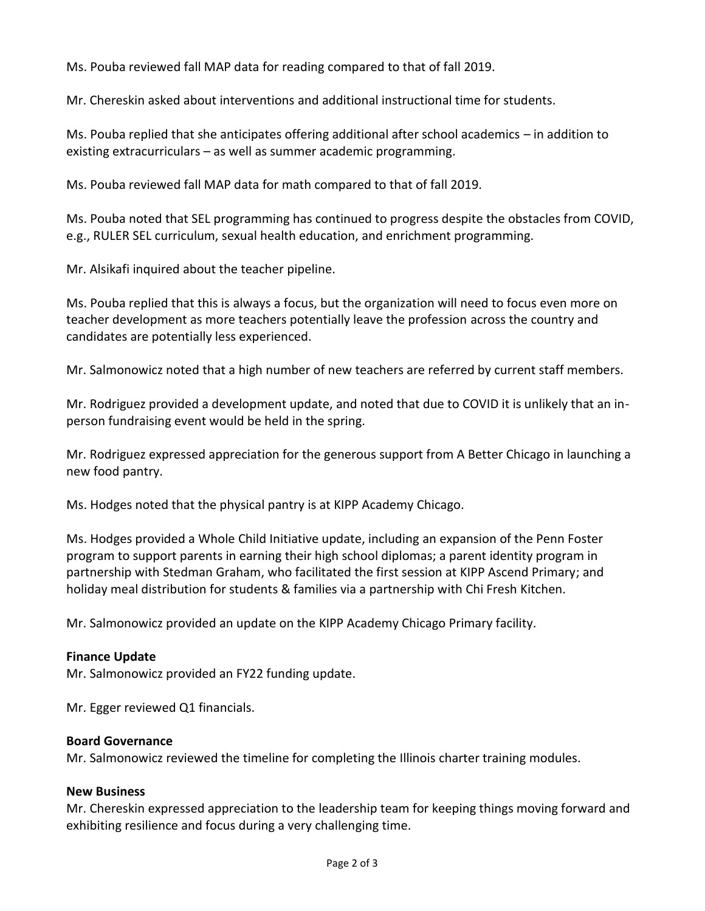Ms. Pouba reviewed fall MAP data for reading compared to that of fall 2019.

Mr. Chereskin asked about interventions and additional instructional time for students.

Ms. Pouba replied that she anticipates offering additional after school academics – in addition to existing extracurriculars – as well as summer academic programming.

Ms. Pouba reviewed fall MAP data for math compared to that of fall 2019.

Ms. Pouba noted that SEL programming has continued to progress despite the obstacles from COVID, e.g., RULER SEL curriculum, sexual health education, and enrichment programming.

Mr. Alsikafi inquired about the teacher pipeline.

Ms. Pouba replied that this is always a focus, but the organization will need to focus even more on teacher development as more teachers potentially leave the profession across the country and candidates are potentially less experienced.

Mr. Salmonowicz noted that a high number of new teachers are referred by current staff members.

Mr. Rodriguez provided a development update, and noted that due to COVID it is unlikely that an inperson fundraising event would be held in the spring.

Mr. Rodriguez expressed appreciation for the generous support from A Better Chicago in launching a new food pantry.

Ms. Hodges noted that the physical pantry is at KIPP Academy Chicago.

Ms. Hodges provided a Whole Child Initiative update, including an expansion of the Penn Foster program to support parents in earning their high school diplomas; a parent identity program in partnership with Stedman Graham, who facilitated the first session at KIPP Ascend Primary; and holiday meal distribution for students & families via a partnership with Chi Fresh Kitchen.

Mr. Salmonowicz provided an update on the KIPP Academy Chicago Primary facility.

## **Finance Update**

Mr. Salmonowicz provided an FY22 funding update.

Mr. Egger reviewed Q1 financials.

### **Board Governance**

Mr. Salmonowicz reviewed the timeline for completing the Illinois charter training modules.

### **New Business**

Mr. Chereskin expressed appreciation to the leadership team for keeping things moving forward and exhibiting resilience and focus during a very challenging time.